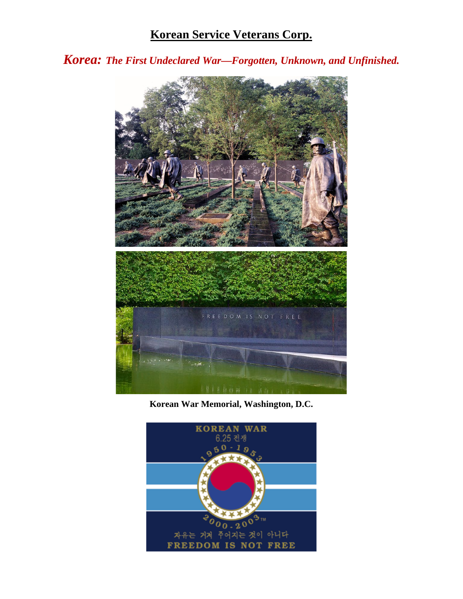## **Korean Service Veterans Corp.**

*Korea: The First Undeclared War—Forgotten, Unknown, and Unfinished.*



**Korean War Memorial, Washington, D.C.**

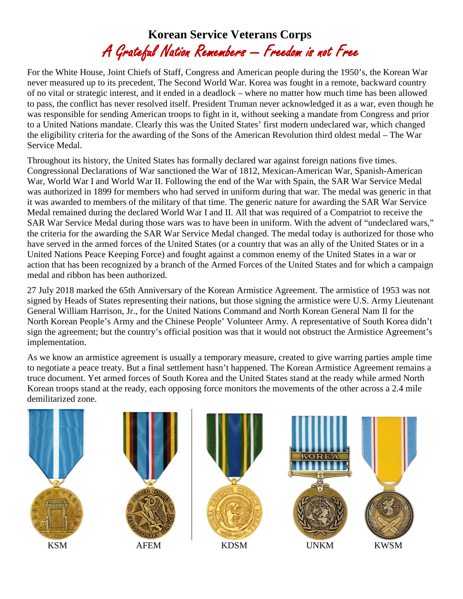## **Korean Service Veterans Corps** A Grateful Nation Remembers — Freedom is not Free

For the White House, Joint Chiefs of Staff, Congress and American people during the 1950's, the Korean War never measured up to its precedent, The Second World War. Korea was fought in a remote, backward country of no vital or strategic interest, and it ended in a deadlock – where no matter how much time has been allowed to pass, the conflict has never resolved itself. President Truman never acknowledged it as a war, even though he was responsible for sending American troops to fight in it, without seeking a mandate from Congress and prior to a United Nations mandate. Clearly this was the United States' first modern undeclared war, which changed the eligibility criteria for the awarding of the Sons of the American Revolution third oldest medal – The War Service Medal.

Throughout its history, the United States has formally declared war against foreign nations five times. Congressional Declarations of War sanctioned the War of 1812, Mexican-American War, Spanish-American War, World War I and World War II. Following the end of the War with Spain, the SAR War Service Medal was authorized in 1899 for members who had served in uniform during that war. The medal was generic in that it was awarded to members of the military of that time. The generic nature for awarding the SAR War Service Medal remained during the declared World War I and II. All that was required of a Compatriot to receive the SAR War Service Medal during those wars was to have been in uniform. With the advent of "undeclared wars," the criteria for the awarding the SAR War Service Medal changed. The medal today is authorized for those who have served in the armed forces of the United States (or a country that was an ally of the United States or in a United Nations Peace Keeping Force) and fought against a common enemy of the United States in a war or action that has been recognized by a branch of the Armed Forces of the United States and for which a campaign medal and ribbon has been authorized.

27 July 2018 marked the 65th Anniversary of the Korean Armistice Agreement. The armistice of 1953 was not signed by Heads of States representing their nations, but those signing the armistice were U.S. Army Lieutenant General William Harrison, Jr., for the United Nations Command and North Korean General Nam Il for the North Korean People's Army and the Chinese People' Volunteer Army. A representative of South Korea didn't sign the agreement; but the country's official position was that it would not obstruct the Armistice Agreement's implementation.

As we know an armistice agreement is usually a temporary measure, created to give warring parties ample time to negotiate a peace treaty. But a final settlement hasn't happened. The Korean Armistice Agreement remains a truce document. Yet armed forces of South Korea and the United States stand at the ready while armed North Korean troops stand at the ready, each opposing force monitors the movements of the other across a 2.4 mile demilitarized zone.

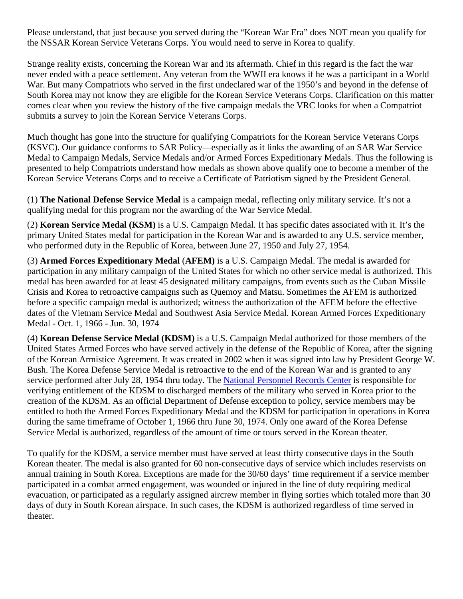Please understand, that just because you served during the "Korean War Era" does NOT mean you qualify for the NSSAR Korean Service Veterans Corps. You would need to serve in Korea to qualify.

Strange reality exists, concerning the Korean War and its aftermath. Chief in this regard is the fact the war never ended with a peace settlement. Any veteran from the WWII era knows if he was a participant in a World War. But many Compatriots who served in the first undeclared war of the 1950's and beyond in the defense of South Korea may not know they are eligible for the Korean Service Veterans Corps. Clarification on this matter comes clear when you review the history of the five campaign medals the VRC looks for when a Compatriot submits a survey to join the Korean Service Veterans Corps.

Much thought has gone into the structure for qualifying Compatriots for the Korean Service Veterans Corps (KSVC). Our guidance conforms to SAR Policy—especially as it links the awarding of an SAR War Service Medal to Campaign Medals, Service Medals and/or Armed Forces Expeditionary Medals. Thus the following is presented to help Compatriots understand how medals as shown above qualify one to become a member of the Korean Service Veterans Corps and to receive a Certificate of Patriotism signed by the President General.

(1) **The National Defense Service Medal** is a campaign medal, reflecting only military service. It's not a qualifying medal for this program nor the awarding of the War Service Medal.

(2) **Korean Service Medal (KSM)** is a U.S. Campaign Medal. It has specific dates associated with it. It's the primary United States medal for participation in the Korean War and is awarded to any U.S. service member, who performed duty in the Republic of Korea, between June 27, 1950 and July 27, 1954.

(3) **Armed Forces Expeditionary Medal** (**AFEM)** is a U.S. Campaign Medal. The medal is awarded for participation in any military campaign of the United States for which no other service medal is authorized. This medal has been awarded for at least 45 designated military campaigns, from events such as the Cuban Missile Crisis and Korea to retroactive campaigns such as Quemoy and Matsu. Sometimes the AFEM is authorized before a specific campaign medal is authorized; witness the authorization of the AFEM before the effective dates of the Vietnam Service Medal and Southwest Asia Service Medal. Korean Armed Forces Expeditionary Medal - Oct. 1, 1966 - Jun. 30, 1974

(4) **Korean Defense Service Medal (KDSM)** is a U.S. Campaign Medal authorized for those members of the United States Armed Forces who have served actively in the defense of the Republic of Korea, after the signing of the Korean Armistice Agreement. It was created in 2002 when it was signed into law by President George W. Bush. The Korea Defense Service Medal is retroactive to the end of the Korean War and is granted to any service performed after July 28, 1954 thru today. The [National Personnel Records Center](https://en.wikipedia.org/wiki/National_Personnel_Records_Center) is responsible for verifying entitlement of the KDSM to discharged members of the military who served in Korea prior to the creation of the KDSM. As an official Department of Defense exception to policy, service members may be entitled to both the Armed Forces Expeditionary Medal and the KDSM for participation in operations in Korea during the same timeframe of October 1, 1966 thru June 30, 1974. Only one award of the Korea Defense Service Medal is authorized, regardless of the amount of time or tours served in the Korean theater.

To qualify for the KDSM, a service member must have served at least thirty consecutive days in the South Korean theater. The medal is also granted for 60 non-consecutive days of service which includes reservists on annual training in South Korea. Exceptions are made for the 30/60 days' time requirement if a service member participated in a combat armed engagement, was wounded or injured in the line of duty requiring medical evacuation, or participated as a regularly assigned aircrew member in flying sorties which totaled more than 30 days of duty in South Korean airspace. In such cases, the KDSM is authorized regardless of time served in theater.